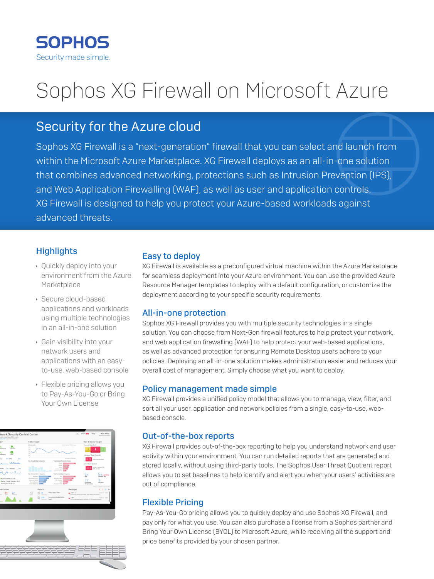

# Sophos XG Firewall on Microsoft Azure

# Security for the Azure cloud

Sophos XG Firewall is a "next-generation" firewall that you can select and launch from within the Microsoft Azure Marketplace. XG Firewall deploys as an all-in-one solution that combines advanced networking, protections such as Intrusion Prevention (IPS), and Web Application Firewalling (WAF), as well as user and application controls. XG Firewall is designed to help you protect your Azure-based workloads against advanced threats.

# **Highlights**

- $\rightarrow$  Quickly deploy into your environment from the Azure **Marketplace**
- ▶ Secure cloud-based applications and workloads using multiple technologies in an all-in-one solution
- **Gain visibility into your** network users and applications with an easyto-use, web-based console
- $\cdot$  Flexible pricing allows you to Pay-As-You-Go or Bring Your Own License



#### Easy to deploy

XG Firewall is available as a preconfigured virtual machine within the Azure Marketplace for seamless deployment into your Azure environment. You can use the provided Azure Resource Manager templates to deploy with a default configuration, or customize the deployment according to your specific security requirements.

#### All-in-one protection

Sophos XG Firewall provides you with multiple security technologies in a single solution. You can choose from Next-Gen firewall features to help protect your network, and web application firewalling (WAF) to help protect your web-based applications, as well as advanced protection for ensuring Remote Desktop users adhere to your policies. Deploying an all-in-one solution makes administration easier and reduces your overall cost of management. Simply choose what you want to deploy.

# Policy management made simple

XG Firewall provides a unified policy model that allows you to manage, view, filter, and sort all your user, application and network policies from a single, easy-to-use, webbased console.

# Out-of-the-box reports

XG Firewall provides out-of-the-box reporting to help you understand network and user activity within your environment. You can run detailed reports that are generated and stored locally, without using third-party tools. The Sophos User Threat Quotient report allows you to set baselines to help identify and alert you when your users' activities are out of compliance.

# Flexible Pricing

Pay-As-You-Go pricing allows you to quickly deploy and use Sophos XG Firewall, and pay only for what you use. You can also purchase a license from a Sophos partner and Bring Your Own License (BYOL) to Microsoft Azure, while receiving all the support and price benefits provided by your chosen partner.